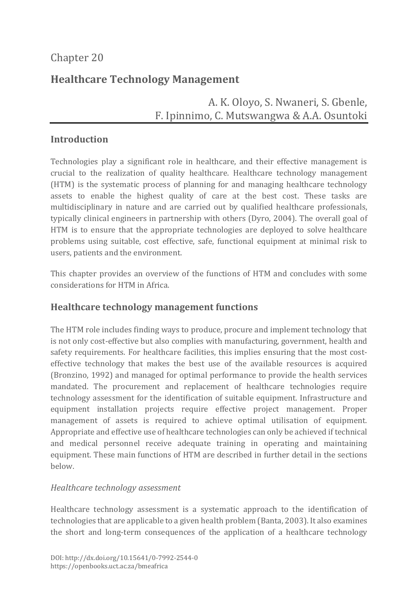# Chapter 20

# **Healthcare Technology Management**

# A. K. Oloyo, S. Nwaneri, S. Gbenle, F. Ipinnimo, C. Mutswangwa & A.A. Osuntoki

## **Introduction**

Technologies play a significant role in healthcare, and their effective management is crucial to the realization of quality healthcare. Healthcare technology management (HTM) is the systematic process of planning for and managing healthcare technology assets to enable the highest quality of care at the best cost. These tasks are multidisciplinary in nature and are carried out by qualified healthcare professionals, typically clinical engineers in partnership with others (Dyro, 2004). The overall goal of HTM is to ensure that the appropriate technologies are deployed to solve healthcare problems using suitable, cost effective, safe, functional equipment at minimal risk to users, patients and the environment.

This chapter provides an overview of the functions of HTM and concludes with some considerations for HTM in Africa.

## **Healthcare technology management functions**

The HTM role includes finding ways to produce, procure and implement technology that is not only cost-effective but also complies with manufacturing, government, health and safety requirements. For healthcare facilities, this implies ensuring that the most costeffective technology that makes the best use of the available resources is acquired (Bronzino, 1992) and managed for optimal performance to provide the health services mandated. The procurement and replacement of healthcare technologies require technology assessment for the identification of suitable equipment. Infrastructure and equipment installation projects require effective project management. Proper management of assets is required to achieve optimal utilisation of equipment. Appropriate and effective use of healthcare technologies can only be achieved if technical and medical personnel receive adequate training in operating and maintaining equipment. These main functions of HTM are described in further detail in the sections below.

### *Healthcare technology assessment*

Healthcare technology assessment is a systematic approach to the identification of technologies that are applicable to a given health problem (Banta, 2003). It also examines the short and long-term consequences of the application of a healthcare technology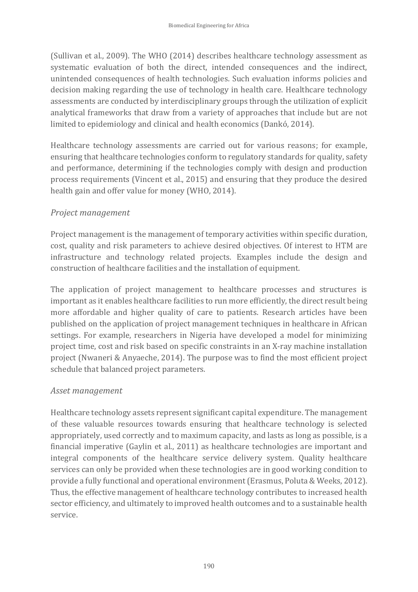(Sullivan et al., 2009). The WHO (2014) describes healthcare technology assessment as systematic evaluation of both the direct, intended consequences and the indirect, unintended consequences of health technologies. Such evaluation informs policies and decision making regarding the use of technology in health care. Healthcare technology assessments are conducted by interdisciplinary groups through the utilization of explicit analytical frameworks that draw from a variety of approaches that include but are not limited to epidemiology and clinical and health economics (Dankó, 2014).

Healthcare technology assessments are carried out for various reasons; for example, ensuring that healthcare technologies conform to regulatory standards for quality, safety and performance, determining if the technologies comply with design and production process requirements (Vincent et al., 2015) and ensuring that they produce the desired health gain and offer value for money (WHO, 2014).

#### *Project management*

Project management is the management of temporary activities within specific duration, cost, quality and risk parameters to achieve desired objectives. Of interest to HTM are infrastructure and technology related projects. Examples include the design and construction of healthcare facilities and the installation of equipment.

The application of project management to healthcare processes and structures is important as it enables healthcare facilities to run more efficiently, the direct result being more affordable and higher quality of care to patients. Research articles have been published on the application of project management techniques in healthcare in African settings. For example, researchers in Nigeria have developed a model for minimizing project time, cost and risk based on specific constraints in an X-ray machine installation project (Nwaneri & Anyaeche, 2014). The purpose was to find the most efficient project schedule that balanced project parameters.

#### *Asset management*

Healthcare technology assets represent significant capital expenditure. The management of these valuable resources towards ensuring that healthcare technology is selected appropriately, used correctly and to maximum capacity, and lasts as long as possible, is a financial imperative (Gaylin et al., 2011) as healthcare technologies are important and integral components of the healthcare service delivery system. Quality healthcare services can only be provided when these technologies are in good working condition to provide a fully functional and operational environment (Erasmus, Poluta & Weeks, 2012). Thus, the effective management of healthcare technology contributes to increased health sector efficiency, and ultimately to improved health outcomes and to a sustainable health service.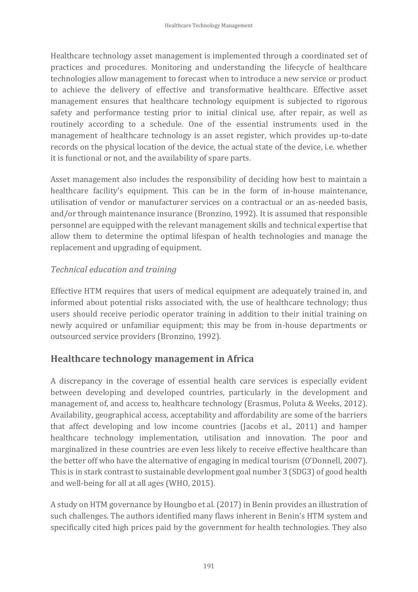Healthcare technology asset management is implemented through a coordinated set of practices and procedures. Monitoring and understanding the lifecycle of healthcare technologies allow management to forecast when to introduce a new service or product to achieve the delivery of effective and transformative healthcare. Effective asset management ensures that healthcare technology equipment is subjected to rigorous safety and performance testing prior to initial clinical use, after repair, as well as routinely according to a schedule. One of the essential instruments used in the management of healthcare technology is an asset register, which provides up-to-date records on the physical location of the device, the actual state of the device, i.e. whether it is functional or not, and the availability of spare parts.

Asset management also includes the responsibility of deciding how best to maintain a healthcare facility's equipment. This can be in the form of in-house maintenance, utilisation of vendor or manufacturer services on a contractual or an as-needed basis, and/or through maintenance insurance (Bronzino, 1992). It is assumed that responsible personnel are equipped with the relevant management skills and technical expertise that allow them to determine the optimal lifespan of health technologies and manage the replacement and upgrading of equipment.

### *Technical education and training*

Effective HTM requires that users of medical equipment are adequately trained in, and informed about potential risks associated with, the use of healthcare technology; thus users should receive periodic operator training in addition to their initial training on newly acquired or unfamiliar equipment; this may be from in-house departments or outsourced service providers (Bronzino, 1992).

### **Healthcare technology management in Africa**

A discrepancy in the coverage of essential health care services is especially evident between developing and developed countries, particularly in the development and management of, and access to, healthcare technology (Erasmus, Poluta & Weeks, 2012). Availability, geographical access, acceptability and affordability are some of the barriers that affect developing and low income countries (Jacobs et al., 2011) and hamper healthcare technology implementation, utilisation and innovation. The poor and marginalized in these countries are even less likely to receive effective healthcare than the better off who have the alternative of engaging in medical tourism (O'Donnell, 2007). This is in stark contrast to sustainable development goal number 3 (SDG3) of good health and well-being for all at all ages (WHO, 2015).

A study on HTM governance by Houngbo et al. (2017) in Benin provides an illustration of such challenges. The authors identified many flaws inherent in Benin's HTM system and specifically cited high prices paid by the government for health technologies. They also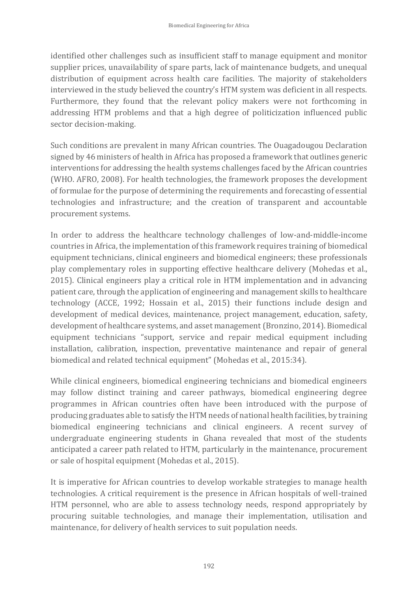identified other challenges such as insufficient staff to manage equipment and monitor supplier prices, unavailability of spare parts, lack of maintenance budgets, and unequal distribution of equipment across health care facilities. The majority of stakeholders interviewed in the study believed the country's HTM system was deficient in all respects. Furthermore, they found that the relevant policy makers were not forthcoming in addressing HTM problems and that a high degree of politicization influenced public sector decision-making.

Such conditions are prevalent in many African countries. The Ouagadougou Declaration signed by 46 ministers of health in Africa has proposed a framework that outlines generic interventions for addressing the health systems challenges faced by the African countries (WHO. AFRO, 2008). For health technologies, the framework proposes the development of formulae for the purpose of determining the requirements and forecasting of essential technologies and infrastructure; and the creation of transparent and accountable procurement systems.

In order to address the healthcare technology challenges of low-and-middle-income countries in Africa, the implementation of this framework requires training of biomedical equipment technicians, clinical engineers and biomedical engineers; these professionals play complementary roles in supporting effective healthcare delivery (Mohedas et al., 2015). Clinical engineers play a critical role in HTM implementation and in advancing patient care, through the application of engineering and management skills to healthcare technology (ACCE, 1992; Hossain et al., 2015) their functions include design and development of medical devices, maintenance, project management, education, safety, development of healthcare systems, and asset management (Bronzino, 2014). Biomedical equipment technicians "support, service and repair medical equipment including installation, calibration, inspection, preventative maintenance and repair of general biomedical and related technical equipment" (Mohedas et al., 2015:34).

While clinical engineers, biomedical engineering technicians and biomedical engineers may follow distinct training and career pathways, biomedical engineering degree programmes in African countries often have been introduced with the purpose of producing graduates able to satisfy the HTM needs of national health facilities, by training biomedical engineering technicians and clinical engineers. A recent survey of undergraduate engineering students in Ghana revealed that most of the students anticipated a career path related to HTM, particularly in the maintenance, procurement or sale of hospital equipment (Mohedas et al., 2015).

It is imperative for African countries to develop workable strategies to manage health technologies. A critical requirement is the presence in African hospitals of well-trained HTM personnel, who are able to assess technology needs, respond appropriately by procuring suitable technologies, and manage their implementation, utilisation and maintenance, for delivery of health services to suit population needs.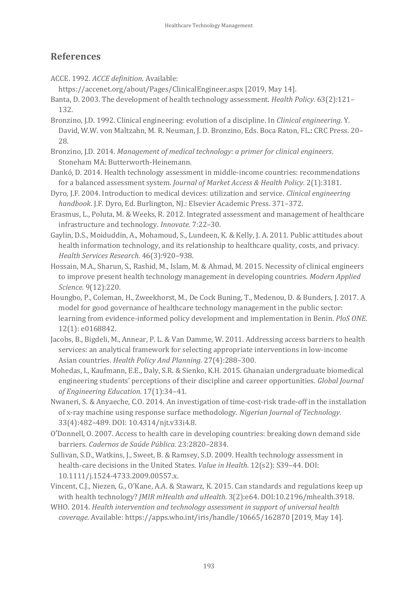## **References**

- ACCE. 1992. *ACCE definition*. Available:
	- https://accenet.org/about/Pages/ClinicalEngineer.aspx [2019, May 14].
- Banta, D. 2003. The development of health technology assessment. *Health Policy.* 63(2):121– 132.
- Bronzino, J.D. 1992. Clinical engineering: evolution of a discipline. In *Clinical engineering.* Y. David, W.W. von Maltzahn, M. R. Neuman, J. D. Bronzino, Eds. Boca Raton, FL.: CRC Press. 20– 28.
- Bronzino, J.D. 2014. *Management of medical technology: a primer for clinical engineers*. Stoneham MA: Butterworth-Heinemann.
- Dankó, D. 2014. Health technology assessment in middle-income countries: recommendations for a balanced assessment system. *Journal of Market Access & Health Policy.* 2(1):3181.
- Dyro, J.F. 2004. Introduction to medical devices: utilization and service. *Clinical engineering handbook*. J.F. Dyro, Ed. Burlington, NJ.: Elsevier Academic Press. 371–372.
- Erasmus, L., Poluta, M. & Weeks, R. 2012. Integrated assessment and management of healthcare infrastructure and technology. *Innovate.* 7:22–30.
- Gaylin, D.S., Moiduddin, A., Mohamoud, S., Lundeen, K. & Kelly, J. A. 2011. Public attitudes about health information technology, and its relationship to healthcare quality, costs, and privacy. *Health Services Research.* 46(3):920–938.
- Hossain, M.A., Sharun, S., Rashid, M., Islam, M. & Ahmad, M. 2015. Necessity of clinical engineers to improve present health technology management in developing countries. *Modern Applied Science.* 9(12):220.
- Houngbo, P., Coleman, H., Zweekhorst, M., De Cock Buning, T., Medenou, D. & Bunders, J. 2017. A model for good governance of healthcare technology management in the public sector: learning from evidence-informed policy development and implementation in Benin. *PloS ONE.* 12(1): e0168842.
- Jacobs, B., Bigdeli, M., Annear, P. L. & Van Damme, W. 2011. Addressing access barriers to health services: an analytical framework for selecting appropriate interventions in low-income Asian countries. *Health Policy And Planning.* 27(4):288–300.
- Mohedas, I., Kaufmann, E.E., Daly, S.R. & Sienko, K.H. 2015. Ghanaian undergraduate biomedical engineering students' perceptions of their discipline and career opportunities. *Global Journal of Engineering Education.* 17(1):34–41.
- Nwaneri, S. & Anyaeche, C.O. 2014. An investigation of time-cost-risk trade-off in the installation of x-ray machine using response surface methodology. *Nigerian Journal of Technology.* 33(4):482–489. DOI: 10.4314/njt.v33i4.8.
- O'Donnell, O. 2007. Access to health care in developing countries: breaking down demand side barriers. *Cadernos de Saúde Pública.* 23:2820–2834.
- Sullivan, S.D., Watkins, J., Sweet, B. & Ramsey, S.D. 2009. Health technology assessment in health‐care decisions in the United States. *Value in Health.* 12(s2): S39–44. DOI: 10.1111/j.1524-4733.2009.00557.x.
- Vincent, C.J., Niezen, G., O'Kane, A.A. & Stawarz, K. 2015. Can standards and regulations keep up with health technology? *JMIR mHealth and uHealth.* 3(2):e64. DOI:10.2196/mhealth.3918.
- WHO. 2014. *Health intervention and technology assessment in support of universal health coverage.* Available: https://apps.who.int/iris/handle/10665/162870 [2019, May 14].